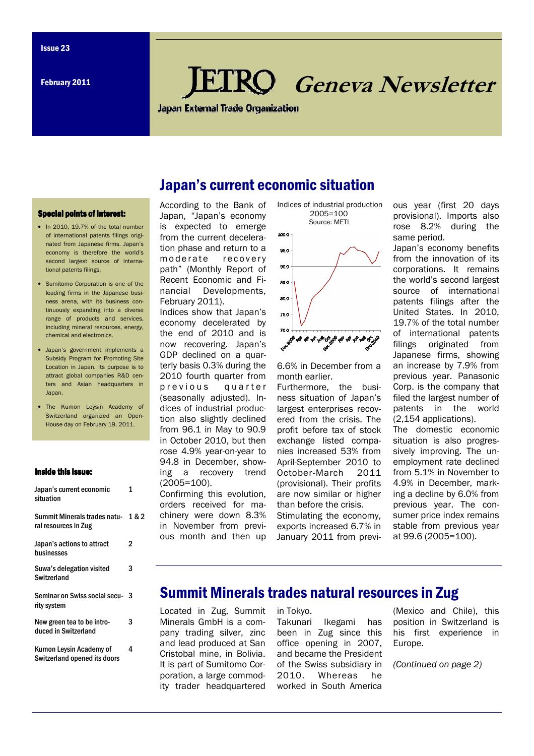# **RO** Geneva Newsletter

**Japan External Trade Organization** 

Japan's current economic situation

#### Special points of interest:

- In 2010, 19.7% of the total number of international patents filings originated from Japanese firms. Japan's economy is therefore the world's second largest source of international patents filings.
- Sumitomo Corporation is one of the leading firms in the Japanese business arena, with its business continuously expanding into a diverse range of products and services, including mineral resources, energy, chemical and electronics.
- Japan's government implements a Subsidy Program for Promoting Site Location in Japan. Its purpose is to attract global companies R&D centers and Asian headquarters in Japan.
- The Kumon Leysin Academy of Switzerland organized an Open-House day on February 19, 2011.

#### Inside this issue:

| Japan's current economic<br>situation                   | 1     |
|---------------------------------------------------------|-------|
| Summit Minerals trades natu-<br>ral resources in Zug    | 1 & 2 |
| Japan's actions to attract<br>businesses                | 2     |
| Suwa's delegation visited<br>Switzerland                | 3     |
| Seminar on Swiss social secu-<br>rity system            | 3     |
| New green tea to be intro-<br>duced in Switzerland      | 3     |
| Kumon Leysin Academy of<br>Switzerland opened its doors | 4     |

According to the Bank of Japan, "Japan's economy is expected to emerge from the current deceleration phase and return to a moderate recovery path" (Monthly Report of Recent Economic and Financial Developments, February 2011).

Indices show that Japan's economy decelerated by the end of 2010 and is now recovering. Japan's GDP declined on a quarterly basis 0.3% during the 2010 fourth quarter from previous quarter (seasonally adjusted). Indices of industrial production also slightly declined from 96.1 in May to 90.9 in October 2010, but then rose 4.9% year-on-year to 94.8 in December, showing a recovery trend (2005=100).

Confirming this evolution, orders received for machinery were down 8.3% in November from previous month and then up  Indices of industrial production 2005=100 Source: METI



6.6% in December from a month earlier.

Furthermore, the business situation of Japan's largest enterprises recovered from the crisis. The profit before tax of stock exchange listed companies increased 53% from April-September 2010 to October-March 2011 (provisional). Their profits are now similar or higher than before the crisis. Stimulating the economy, exports increased 6.7% in January 2011 from previous year (first 20 days provisional). Imports also rose 8.2% during the same period.

Japan's economy benefits from the innovation of its corporations. It remains the world's second largest source of international patents filings after the United States. In 2010, 19.7% of the total number of international patents filings originated from Japanese firms, showing an increase by 7.9% from previous year. Panasonic Corp. is the company that filed the largest number of patents in the world (2,154 applications). The domestic economic

situation is also progressively improving. The unemployment rate declined from 5.1% in November to 4.9% in December, marking a decline by 6.0% from previous year. The consumer price index remains stable from previous year at 99.6 (2005=100).

## Summit Minerals trades natural resources in Zug

Located in Zug, Summit Minerals GmbH is a company trading silver, zinc and lead produced at San Cristobal mine, in Bolivia. It is part of Sumitomo Corporation, a large commodity trader headquartered

in Tokyo.

Takunari Ikegami has been in Zug since this office opening in 2007, and became the President of the Swiss subsidiary in 2010. Whereas he worked in South America

(Mexico and Chile), this position in Switzerland is his first experience in Europe.

(Continued on page 2)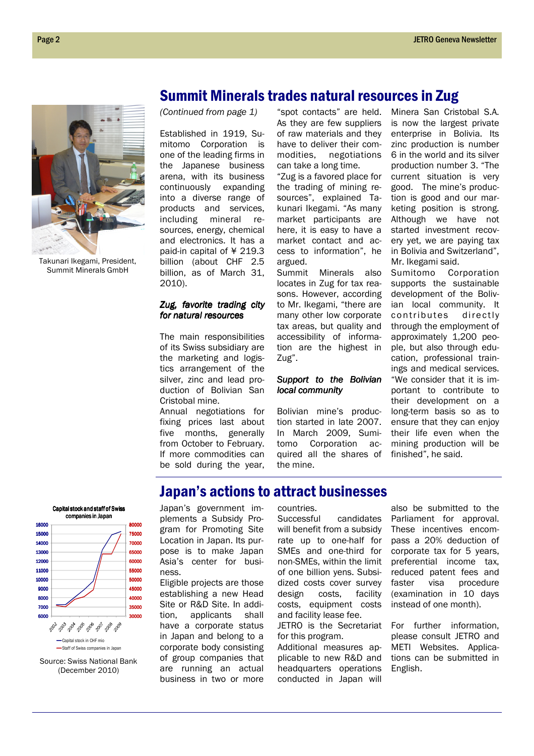

Takunari Ikegami, President, Summit Minerals GmbH

## Summit Minerals trades natural resources in Zug

(Continued from page 1)

Established in 1919, Sumitomo Corporation is one of the leading firms in the Japanese business arena, with its business continuously expanding into a diverse range of products and services, including mineral resources, energy, chemical and electronics. It has a paid-in capital of ¥ 219.3 billion (about CHF 2.5 billion, as of March 31, 2010).

#### Zug, favorite trading city for natural resources

The main responsibilities of its Swiss subsidiary are the marketing and logistics arrangement of the silver, zinc and lead production of Bolivian San Cristobal mine.

Annual negotiations for fixing prices last about five months, generally from October to February. If more commodities can be sold during the year,

"spot contacts" are held. As they are few suppliers of raw materials and they have to deliver their commodities, negotiations can take a long time.

"Zug is a favored place for the trading of mining resources", explained Takunari Ikegami. "As many market participants are here, it is easy to have a market contact and access to information", he argued.

Summit Minerals also locates in Zug for tax reasons. However, according to Mr. Ikegami, "there are many other low corporate tax areas, but quality and accessibility of information are the highest in Zug".

#### Support to the Bolivian local community

Bolivian mine's production started in late 2007. In March 2009, Sumitomo Corporation acquired all the shares of the mine.

Minera San Cristobal S.A. is now the largest private enterprise in Bolivia. Its zinc production is number 6 in the world and its silver production number 3. "The current situation is very good. The mine's production is good and our marketing position is strong. Although we have not started investment recovery yet, we are paying tax in Bolivia and Switzerland", Mr. Ikegami said.

Sumitomo Corporation supports the sustainable development of the Bolivian local community. It contributes directly through the employment of approximately 1,200 people, but also through education, professional trainings and medical services. "We consider that it is important to contribute to their development on a long-term basis so as to ensure that they can enjoy their life even when the mining production will be finished", he said.

# Japan's actions to attract businesses



Source: Swiss National Bank (December 2010)

Japan's government implements a Subsidy Program for Promoting Site Location in Japan. Its purpose is to make Japan Asia's center for business.

Eligible projects are those establishing a new Head Site or R&D Site. In addition, applicants shall have a corporate status in Japan and belong to a corporate body consisting of group companies that are running an actual business in two or more

#### countries.

Successful candidates will benefit from a subsidy rate up to one-half for SMEs and one-third for non-SMEs, within the limit of one billion yens. Subsidized costs cover survey design costs, facility costs, equipment costs and facility lease fee.

JETRO is the Secretariat for this program.

Additional measures applicable to new R&D and headquarters operations conducted in Japan will

also be submitted to the Parliament for approval. These incentives encompass a 20% deduction of corporate tax for 5 years, preferential income tax, reduced patent fees and faster visa procedure (examination in 10 days instead of one month).

For further information, please consult JETRO and METI Websites. Applications can be submitted in English.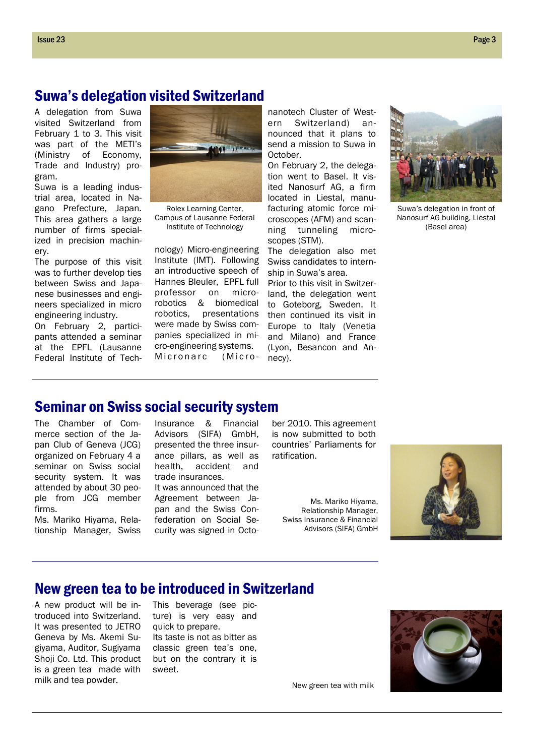## Suwa's delegation visited Switzerland

A delegation from Suwa visited Switzerland from February 1 to 3. This visit was part of the METI's (Ministry of Economy, Trade and Industry) program.

Suwa is a leading industrial area, located in Nagano Prefecture, Japan. This area gathers a large number of firms specialized in precision machinery.

The purpose of this visit was to further develop ties between Swiss and Japanese businesses and engineers specialized in micro engineering industry.

On February 2, participants attended a seminar at the EPFL (Lausanne Federal Institute of Tech-



Rolex Learning Center, Campus of Lausanne Federal Institute of Technology

nology) Micro-engineering Institute (IMT). Following an introductive speech of Hannes Bleuler, EPFL full professor on microrobotics & biomedical robotics, presentations were made by Swiss companies specialized in micro-engineering systems. Micronarc (Micro-

nanotech Cluster of Western Switzerland) announced that it plans to send a mission to Suwa in October.

On February 2, the delegation went to Basel. It visited Nanosurf AG, a firm located in Liestal, manufacturing atomic force microscopes (AFM) and scanning tunneling microscopes (STM).

The delegation also met Swiss candidates to internship in Suwa's area.

Prior to this visit in Switzerland, the delegation went to Goteborg, Sweden. It then continued its visit in Europe to Italy (Venetia and Milano) and France (Lyon, Besancon and Annecy).



Suwa's delegation in front of Nanosurf AG building, Liestal (Basel area)

### Seminar on Swiss social security system

The Chamber of Commerce section of the Japan Club of Geneva (JCG) organized on February 4 a seminar on Swiss social security system. It was attended by about 30 people from JCG member firms.

Ms. Mariko Hiyama, Relationship Manager, Swiss

Insurance & Financial Advisors (SIFA) GmbH, presented the three insurance pillars, as well as health, accident and trade insurances.

It was announced that the Agreement between Japan and the Swiss Confederation on Social Security was signed in Octo-

ber 2010. This agreement is now submitted to both countries' Parliaments for ratification.

Ms. Mariko Hiyama, Relationship Manager, Swiss Insurance & Financial Advisors (SIFA) GmbH



## New green tea to be introduced in Switzerland

A new product will be introduced into Switzerland. It was presented to JETRO Geneva by Ms. Akemi Sugiyama, Auditor, Sugiyama Shoji Co. Ltd. This product is a green tea made with milk and tea powder.

This beverage (see picture) is very easy and quick to prepare. Its taste is not as bitter as classic green tea's one, but on the contrary it is sweet.



New green tea with milk